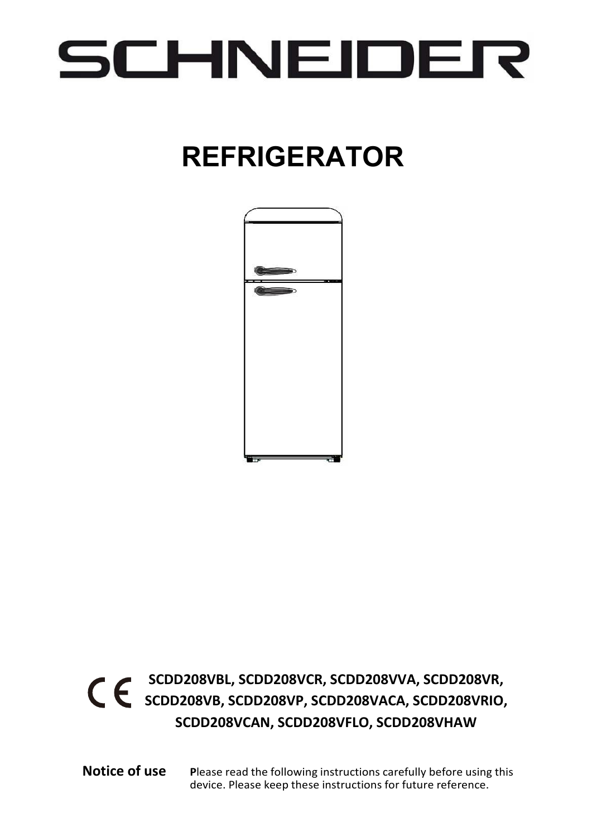## SCHNEIDER

## **REFRIGERATOR**



### **SCDD208VBL, SCDD208VCR, SCDD208VVA, SCDD208VR, SCDD208VB, SCDD208VP, SCDD208VACA, SCDD208VRIO, SCDD208VCAN, SCDD208VFLO, SCDD208VHAW**

**Notice of use P**lease read the following instructions carefully before using this device. Please keep these instructions for future reference.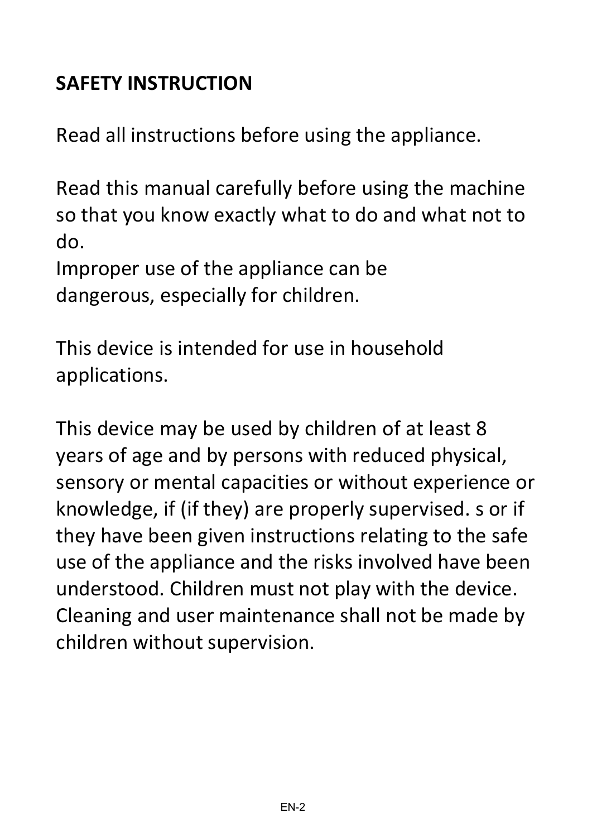### **SAFETY INSTRUCTION**

Read all instructions before using the appliance.

Read this manual carefully before using the machine so that you know exactly what to do and what not to do.

Improper use of the appliance can be dangerous, especially for children.

This device is intended for use in household applications.

This device may be used by children of at least 8 years of age and by persons with reduced physical, sensory or mental capacities or without experience or knowledge, if (if they) are properly supervised. s or if they have been given instructions relating to the safe use of the appliance and the risks involved have been understood. Children must not play with the device. Cleaning and user maintenance shall not be made by children without supervision.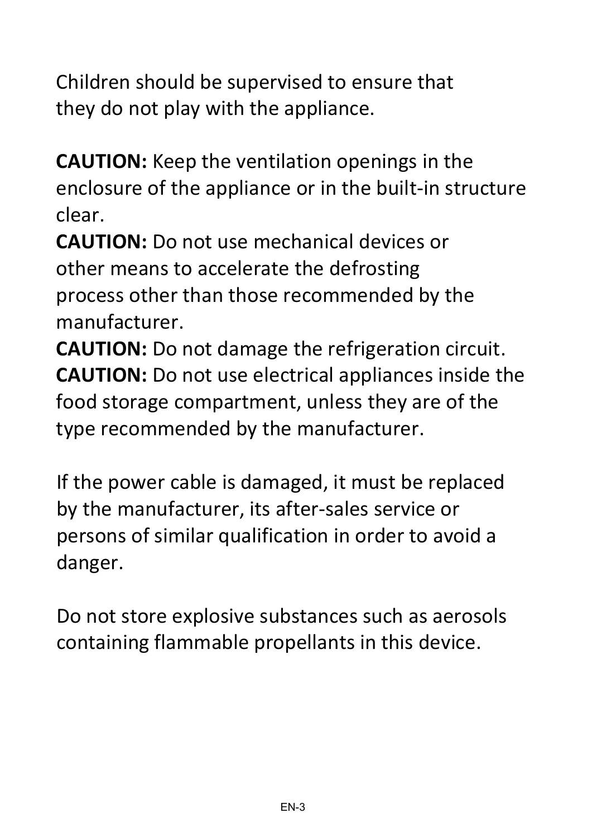Children should be supervised to ensure that they do not play with the appliance.

**CAUTION:** Keep the ventilation openings in the enclosure of the appliance or in the built-in structure clear.

**CAUTION:** Do not use mechanical devices or other means to accelerate the defrosting process other than those recommended by the manufacturer.

**CAUTION:** Do not damage the refrigeration circuit. **CAUTION:** Do not use electrical appliances inside the food storage compartment, unless they are of the type recommended by the manufacturer.

If the power cable is damaged, it must be replaced by the manufacturer, its after-sales service or persons of similar qualification in order to avoid a danger.

Do not store explosive substances such as aerosols containing flammable propellants in this device.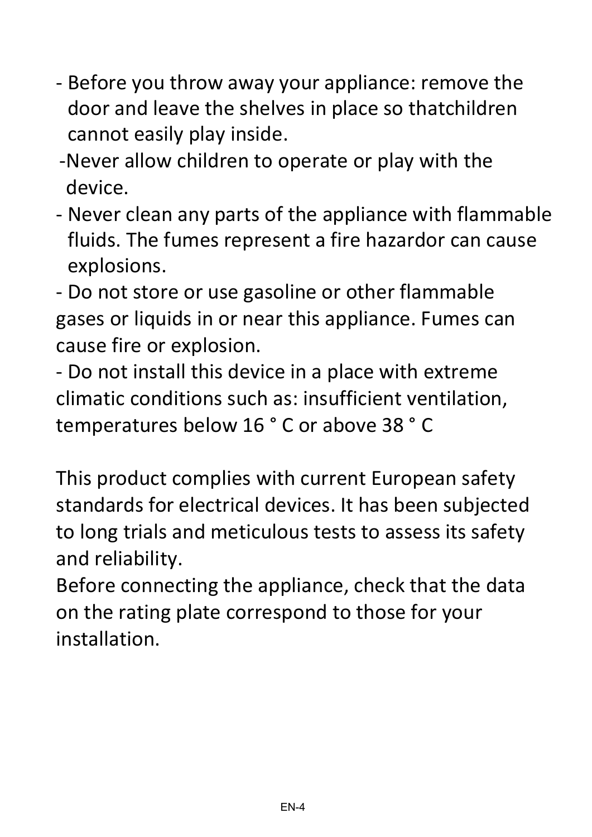- Before you throw away your appliance: remove the door and leave the shelves in place so thatchildren cannot easily play inside.
- -Never allow children to operate or play with the device.
- Never clean any parts of the appliance with flammable fluids. The fumes represent a fire hazardor can cause explosions.

- Do not store or use gasoline or other flammable gases or liquids in or near this appliance. Fumes can cause fire or explosion.

- Do not install this device in a place with extreme climatic conditions such as: insufficient ventilation, temperatures below 16 ° C or above 38 ° C

This product complies with current European safety standards for electrical devices. It has been subjected to long trials and meticulous tests to assess its safety and reliability.

Before connecting the appliance, check that the data on the rating plate correspond to those for your installation.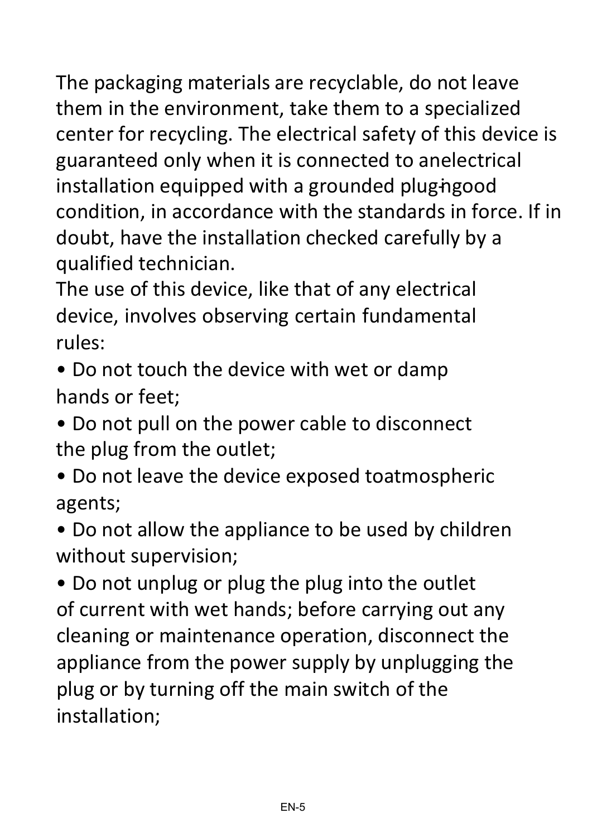The packaging materials are recyclable, do not leave them in the environment, take them to a specialized center for recycling. The electrical safety of this device is guaranteed only when it is connected to anelectrical installation equipped with a grounded plug-ingood condition, in accordance with the standards in force. If in doubt, have the installation checked carefully by a qualified technician.

The use of this device, like that of any electrical device, involves observing certain fundamental rules:

- Do not touch the device with wet or damp hands or feet;
- Do not pull on the power cable to disconnect the plug from the outlet;
- Do not leave the device exposed toatmospheric agents;
- Do not allow the appliance to be used by children without supervision;

• Do not unplug or plug the plug into the outlet of current with wet hands; before carrying out any cleaning or maintenance operation, disconnect the appliance from the power supply by unplugging the plug or by turning off the main switch of the installation;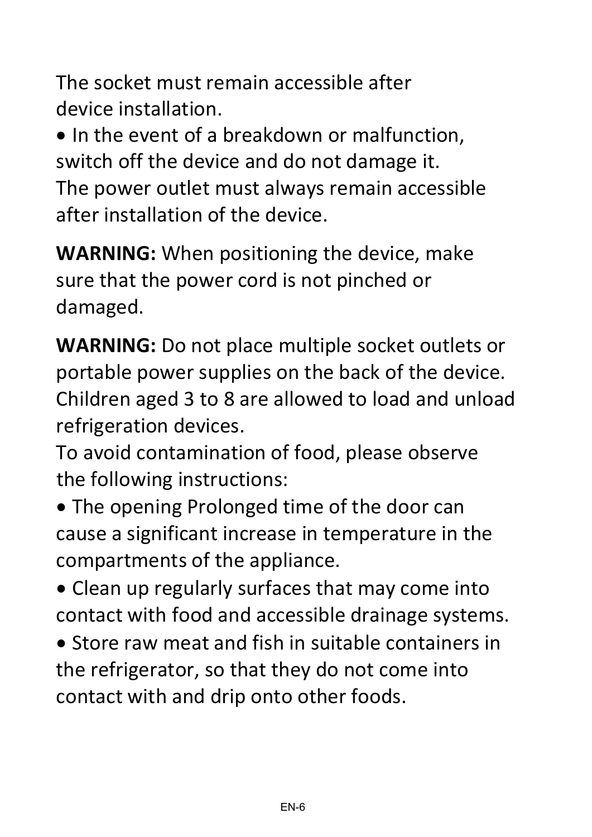The socket must remain accessible after device installation.

• In the event of a breakdown or malfunction, switch off the device and do not damage it. The power outlet must always remain accessible after installation of the device.

**WARNING:** When positioning the device, make sure that the power cord is not pinched or damaged.

**WARNING:** Do not place multiple socket outlets or portable power supplies on the back of the device. Children aged 3 to 8 are allowed to load and unload refrigeration devices.

To avoid contamination of food, please observe the following instructions:

- The opening Prolonged time of the door can cause a significant increase in temperature in the compartments of the appliance.
- Clean up regularly surfaces that may come into contact with food and accessible drainage systems.
- Store raw meat and fish in suitable containers in the refrigerator, so that they do not come into contact with and drip onto other foods.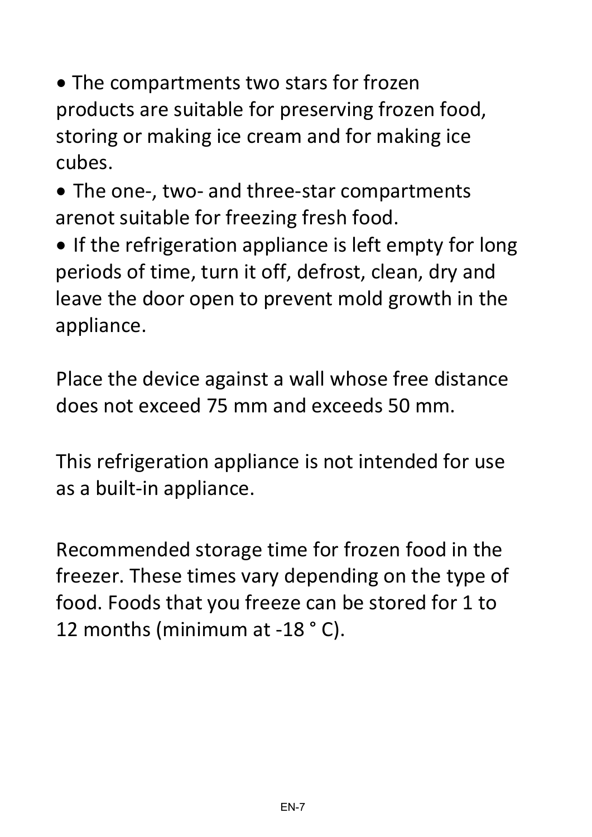• The compartments two stars for frozen products are suitable for preserving frozen food, storing or making ice cream and for making ice cubes.

• The one-, two- and three-star compartments arenot suitable for freezing fresh food.

• If the refrigeration appliance is left empty for long periods of time, turn it off, defrost, clean, dry and leave the door open to prevent mold growth in the appliance.

Place the device against a wall whose free distance does not exceed 75 mm and exceeds 50 mm.

This refrigeration appliance is not intended for use as a built-in appliance.

Recommended storage time for frozen food in the freezer. These times vary depending on the type of food. Foods that you freeze can be stored for 1 to 12 months (minimum at -18 ° C).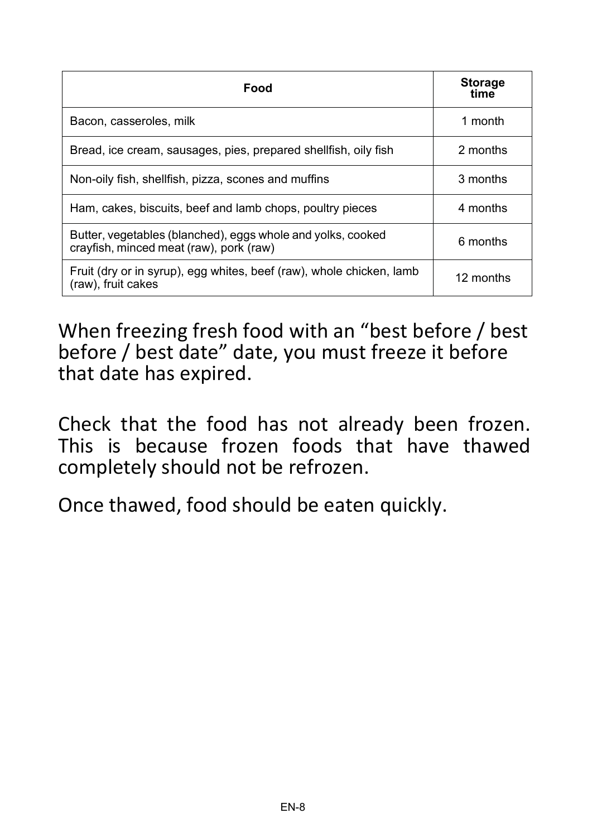| Food                                                                                                   | <b>Storage</b><br>time |
|--------------------------------------------------------------------------------------------------------|------------------------|
| Bacon, casseroles, milk                                                                                | 1 month                |
| Bread, ice cream, sausages, pies, prepared shellfish, oily fish                                        | 2 months               |
| Non-oily fish, shellfish, pizza, scones and muffins                                                    | 3 months               |
| Ham, cakes, biscuits, beef and lamb chops, poultry pieces                                              | 4 months               |
| Butter, vegetables (blanched), eggs whole and yolks, cooked<br>crayfish, minced meat (raw), pork (raw) | 6 months               |
| Fruit (dry or in syrup), egg whites, beef (raw), whole chicken, lamb<br>(raw), fruit cakes             | 12 months              |

When freezing fresh food with an "best before / best before / best date" date, you must freeze it before that date has expired.

Check that the food has not already been frozen. This is because frozen foods that have thawed completely should not be refrozen.

Once thawed, food should be eaten quickly.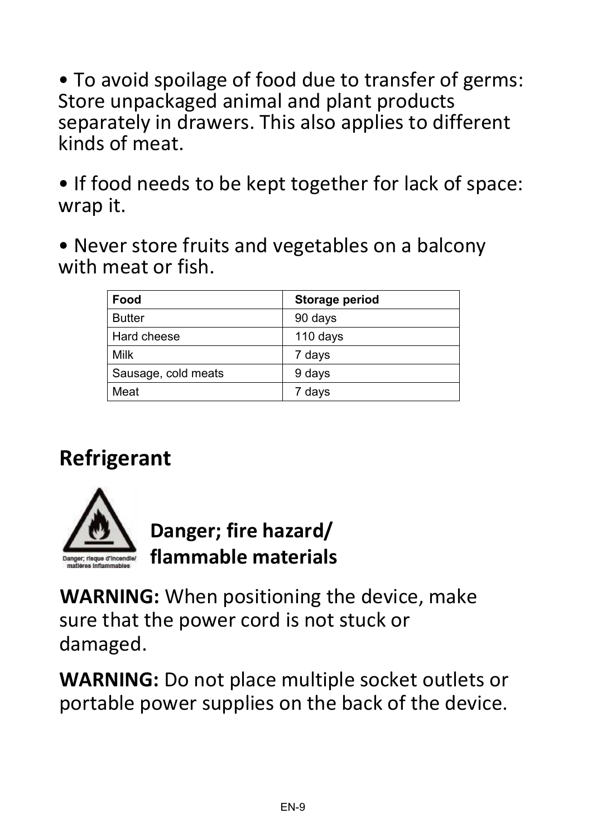• To avoid spoilage of food due to transfer of germs: Store unpackaged animal and plant products separately in drawers. This also applies to different kinds of meat.

• If food needs to be kept together for lack of space: wrap it.

• Never store fruits and vegetables on a balcony with meat or fish.

| Food                | Storage period |
|---------------------|----------------|
| <b>Butter</b>       | 90 days        |
| Hard cheese         | 110 days       |
| Milk                | 7 days         |
| Sausage, cold meats | 9 days         |
| Meat                | 7 days         |

## **Refrigerant**



**Danger; fire hazard/ flammable materials**

**WARNING:** When positioning the device, make sure that the power cord is not stuck or damaged.

**WARNING:** Do not place multiple socket outlets or portable power supplies on the back of the device.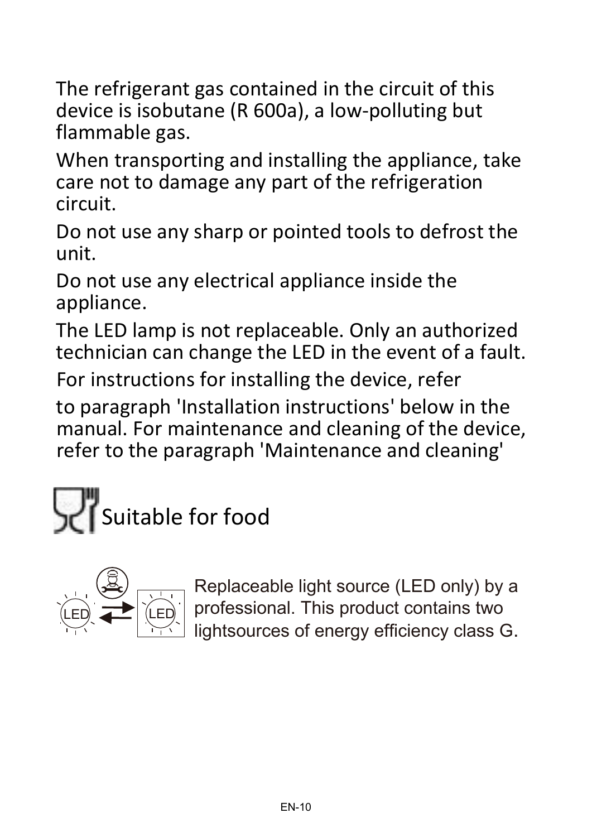The refrigerant gas contained in the circuit of this device is isobutane (R 600a), a low-polluting but flammable gas.

When transporting and installing the appliance, take care not to damage any part of the refrigeration circuit.

Do not use any sharp or pointed tools to defrost the unit.

Do not use any electrical appliance inside the appliance.

The LED lamp is not replaceable. Only an authorized technician can change the LED in the event of a fault.

For instructions for installing the device, refer

to paragraph 'Installation instructions' below in the manual. For maintenance and cleaning of the device, refer to the paragraph 'Maintenance and cleaning'





Replaceable light source (LED only) by a professional. This product contains two lightsources of energy efficiency class G.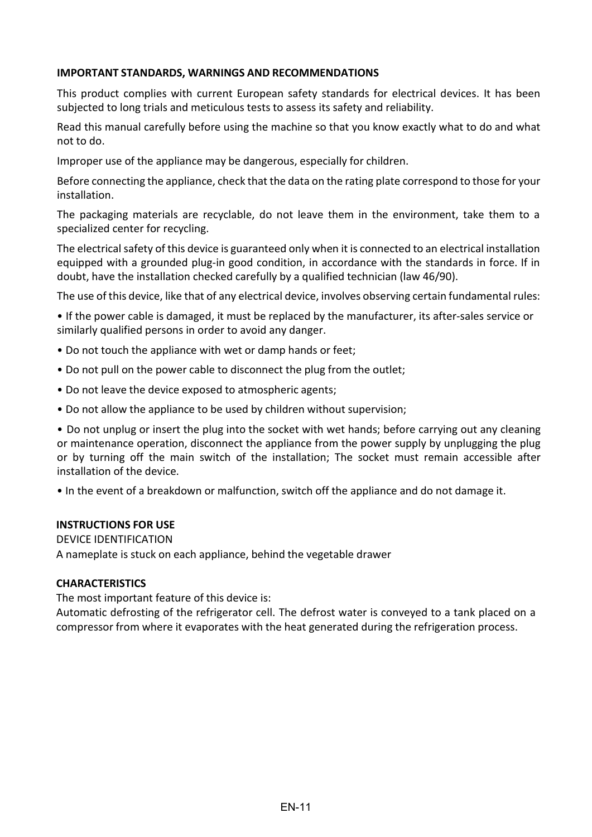#### **IMPORTANT STANDARDS, WARNINGS AND RECOMMENDATIONS**

This product complies with current European safety standards for electrical devices. It has been subjected to long trials and meticulous tests to assess its safety and reliability.

Read this manual carefully before using the machine so that you know exactly what to do and what not to do.

Improper use of the appliance may be dangerous, especially for children.

Before connecting the appliance, check that the data on the rating plate correspond to those for your installation.

The packaging materials are recyclable, do not leave them in the environment, take them to a specialized center for recycling.

The electrical safety of this device is guaranteed only when it is connected to an electrical installation equipped with a grounded plug-in good condition, in accordance with the standards in force. If in doubt, have the installation checked carefully by a qualified technician (law 46/90).

The use of this device, like that of any electrical device, involves observing certain fundamental rules:

• If the power cable is damaged, it must be replaced by the manufacturer, its after-sales service or similarly qualified persons in order to avoid any danger.

- Do not touch the appliance with wet or damp hands or feet;
- Do not pull on the power cable to disconnect the plug from the outlet;
- Do not leave the device exposed to atmospheric agents;
- Do not allow the appliance to be used by children without supervision;

• Do not unplug or insert the plug into the socket with wet hands; before carrying out any cleaning or maintenance operation, disconnect the appliance from the power supply by unplugging the plug or by turning off the main switch of the installation; The socket must remain accessible after installation of the device.

• In the event of a breakdown or malfunction, switch off the appliance and do not damage it.

#### **INSTRUCTIONS FOR USE**

#### DEVICE IDENTIFICATION

A nameplate is stuck on each appliance, behind the vegetable drawer

#### **CHARACTERISTICS**

The most important feature of this device is:

Automatic defrosting of the refrigerator cell. The defrost water is conveyed to a tank placed on a compressor from where it evaporates with the heat generated during the refrigeration process.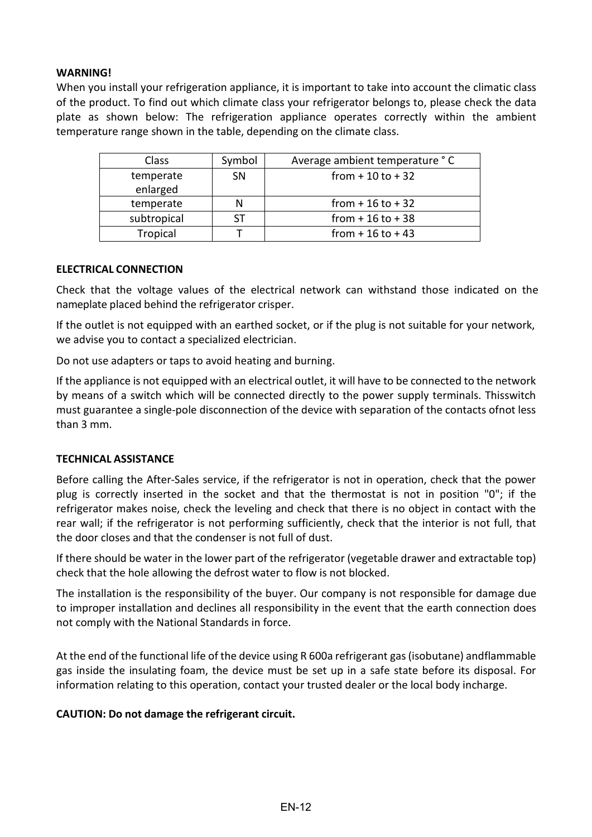#### **WARNING!**

When you install your refrigeration appliance, it is important to take into account the climatic class of the product. To find out which climate class your refrigerator belongs to, please check the data plate as shown below: The refrigeration appliance operates correctly within the ambient temperature range shown in the table, depending on the climate class.

| Class                 | Symbol    | Average ambient temperature °C |
|-----------------------|-----------|--------------------------------|
| temperate<br>enlarged | <b>SN</b> | from $+10$ to $+32$            |
| temperate             |           | from $+16$ to $+32$            |
| subtropical           | <b>ST</b> | from $+16$ to $+38$            |
| Tropical              |           | from $+16$ to $+43$            |

#### **ELECTRICAL CONNECTION**

Check that the voltage values of the electrical network can withstand those indicated on the nameplate placed behind the refrigerator crisper.

If the outlet is not equipped with an earthed socket, or if the plug is not suitable for your network, we advise you to contact a specialized electrician.

Do not use adapters or taps to avoid heating and burning.

If the appliance is not equipped with an electrical outlet, it will have to be connected to the network by means of a switch which will be connected directly to the power supply terminals. Thisswitch must guarantee a single-pole disconnection of the device with separation of the contacts ofnot less than 3 mm.

#### **TECHNICAL ASSISTANCE**

Before calling the After-Sales service, if the refrigerator is not in operation, check that the power plug is correctly inserted in the socket and that the thermostat is not in position "0"; if the refrigerator makes noise, check the leveling and check that there is no object in contact with the rear wall; if the refrigerator is not performing sufficiently, check that the interior is not full, that the door closes and that the condenser is not full of dust.

If there should be water in the lower part of the refrigerator (vegetable drawer and extractable top) check that the hole allowing the defrost water to flow is not blocked.

The installation is the responsibility of the buyer. Our company is not responsible for damage due to improper installation and declines all responsibility in the event that the earth connection does not comply with the National Standards in force.

At the end of the functional life of the device using R 600a refrigerant gas (isobutane) andflammable gas inside the insulating foam, the device must be set up in a safe state before its disposal. For information relating to this operation, contact your trusted dealer or the local body incharge.

#### **CAUTION: Do not damage the refrigerant circuit.**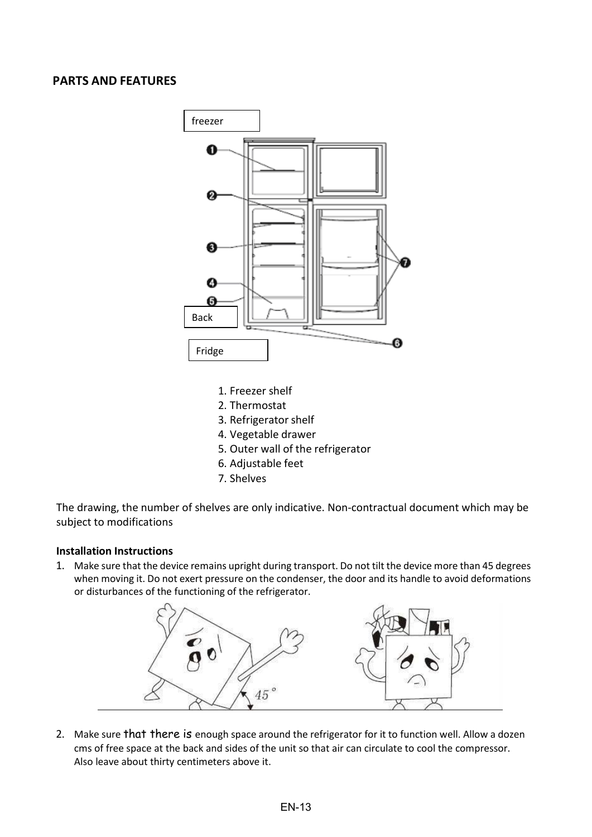#### **PARTS AND FEATURES**



- 1. Freezer shelf
- 2. Thermostat
- 3. Refrigerator shelf
- 4. Vegetable drawer
- 5. Outer wall of the refrigerator
- 6. Adjustable feet
- 7. Shelves

The drawing, the number of shelves are only indicative. Non-contractual document which may be subject to modifications

#### **Installation Instructions**

1. Make sure that the device remains upright during transport. Do not tilt the device more than 45 degrees when moving it. Do not exert pressure on the condenser, the door and its handle to avoid deformations or disturbances of the functioning of the refrigerator.



2. Make sure that there is enough space around the refrigerator for it to function well. Allow a dozen cms of free space at the back and sides of the unit so that air can circulate to cool the compressor. Also leave about thirty centimeters above it.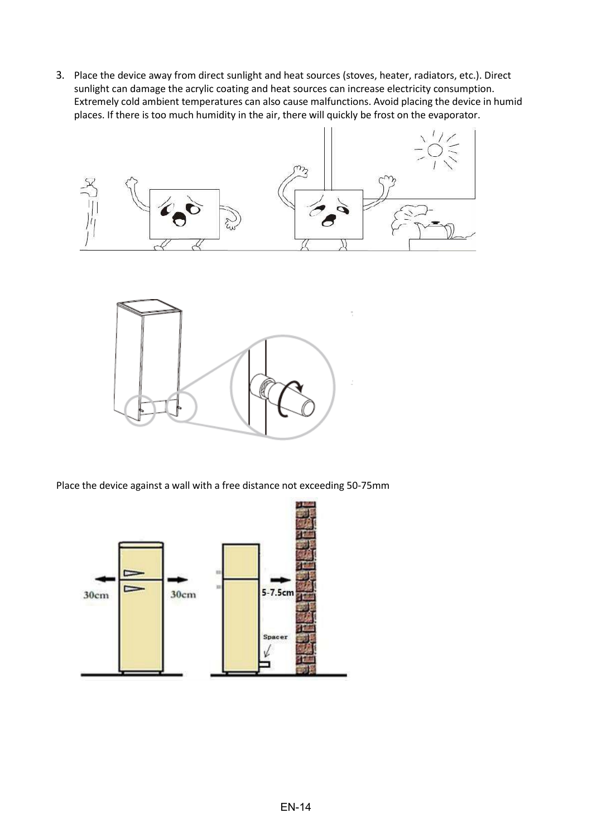3. Place the device away from direct sunlight and heat sources (stoves, heater, radiators, etc.). Direct sunlight can damage the acrylic coating and heat sources can increase electricity consumption. Extremely cold ambient temperatures can also cause malfunctions. Avoid placing the device in humid places. If there is too much humidity in the air, there will quickly be frost on the evaporator.





Place the device against a wall with a free distance not exceeding 50-75mm

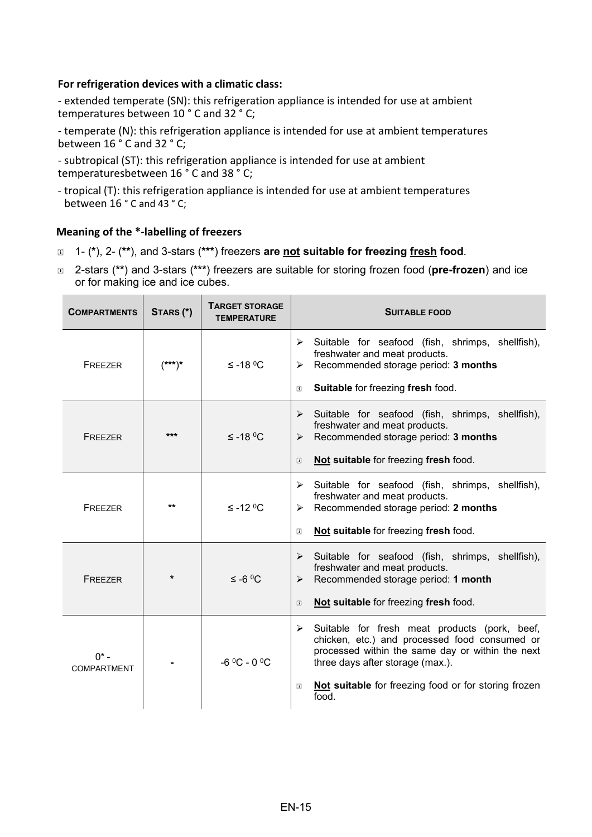#### **For refrigeration devices with a climatic class:**

- extended temperate (SN): this refrigeration appliance is intended for use at ambient temperatures between 10 ° C and 32 ° C;

- temperate (N): this refrigeration appliance is intended for use at ambient temperatures between 16 ° C and 32 ° C;

- subtropical (ST): this refrigeration appliance is intended for use at ambient temperaturesbetween 16 ° C and 38 ° C;

- tropical (T): this refrigeration appliance is intended for use at ambient temperatures between 16 ° C and 43 ° C;

#### **Meaning of the \*-labelling of freezers**

- 1- (**\***), 2- (**\*\***), and 3-stars (**\*\*\***) freezers **are not suitable for freezing fresh food**.
- 2-stars (**\*\***) and 3-stars (**\*\*\***) freezers are suitable for storing frozen food (**pre-frozen**) and ice or for making ice and ice cubes.

| <b>COMPARTMENTS</b>           | STARS (*) | <b>TARGET STORAGE</b><br><b>TEMPERATURE</b> | <b>SUITABLE FOOD</b>                                                                                                                                                                                                                                                        |
|-------------------------------|-----------|---------------------------------------------|-----------------------------------------------------------------------------------------------------------------------------------------------------------------------------------------------------------------------------------------------------------------------------|
| FREEZER                       | $(***)*$  | $≤ -18 °C$                                  | Suitable for seafood (fish, shrimps, shellfish),<br>➤<br>freshwater and meat products.<br>Recommended storage period: 3 months<br>➤<br>Suitable for freezing fresh food.<br>$\begin{array}{c} \boxed{1} \end{array}$                                                        |
| FREEZER                       | ***       | $≤ -18 °C$                                  | Suitable for seafood (fish, shrimps, shellfish),<br>➤<br>freshwater and meat products.<br>Recommended storage period: 3 months<br>➤<br>Not suitable for freezing fresh food.<br>$\boxed{1}$                                                                                 |
| FREEZER                       | **        | $\leq$ -12 °C                               | Suitable for seafood (fish, shrimps, shellfish),<br>≻<br>freshwater and meat products.<br>Recommended storage period: 2 months<br>⋗<br>Not suitable for freezing fresh food.<br>$\Box$                                                                                      |
| FREEZER                       | $\star$   | $≤ -6$ °C                                   | Suitable for seafood (fish, shrimps, shellfish),<br>➤<br>freshwater and meat products.<br>Recommended storage period: 1 month<br>➤<br>Not suitable for freezing fresh food.<br>$\boxed{1}$                                                                                  |
| $0^*$ –<br><b>COMPARTMENT</b> |           | $-6$ °C - 0 °C                              | Suitable for fresh meat products (pork, beef,<br>➤<br>chicken, etc.) and processed food consumed or<br>processed within the same day or within the next<br>three days after storage (max.).<br>Not suitable for freezing food or for storing frozen<br>$\boxed{1}$<br>food. |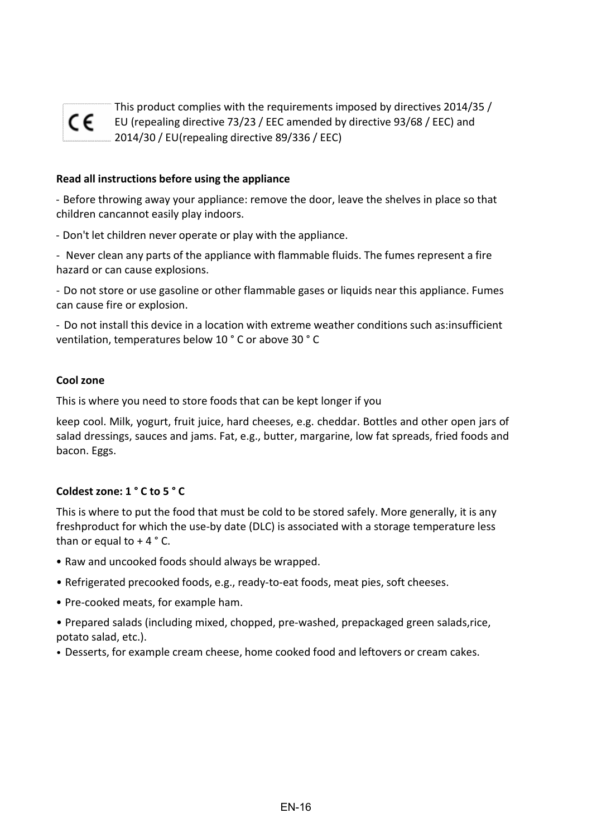

This product complies with the requirements imposed by directives 2014/35 / EU (repealing directive 73/23 / EEC amended by directive 93/68 / EEC) and 2014/30 / EU(repealing directive 89/336 / EEC)

#### **Read all instructions before using the appliance**

- Before throwing away your appliance: remove the door, leave the shelves in place so that children cancannot easily play indoors.

- Don't let children never operate or play with the appliance.

- Never clean any parts of the appliance with flammable fluids. The fumes represent a fire hazard or can cause explosions.

- Do not store or use gasoline or other flammable gases or liquids near this appliance. Fumes can cause fire or explosion.

- Do not install this device in a location with extreme weather conditions such as:insufficient ventilation, temperatures below 10 ° C or above 30 ° C

#### **Cool zone**

This is where you need to store foods that can be kept longer if you

keep cool. Milk, yogurt, fruit juice, hard cheeses, e.g. cheddar. Bottles and other open jars of salad dressings, sauces and jams. Fat, e.g., butter, margarine, low fat spreads, fried foods and bacon. Eggs.

#### **Coldest zone: 1 ° C to 5 ° C**

This is where to put the food that must be cold to be stored safely. More generally, it is any freshproduct for which the use-by date (DLC) is associated with a storage temperature less than or equal to  $+4$  ° C.

- Raw and uncooked foods should always be wrapped.
- Refrigerated precooked foods, e.g., ready-to-eat foods, meat pies, soft cheeses.
- Pre-cooked meats, for example ham.
- Prepared salads (including mixed, chopped, pre-washed, prepackaged green salads,rice, potato salad, etc.).
- Desserts, for example cream cheese, home cooked food and leftovers or cream cakes.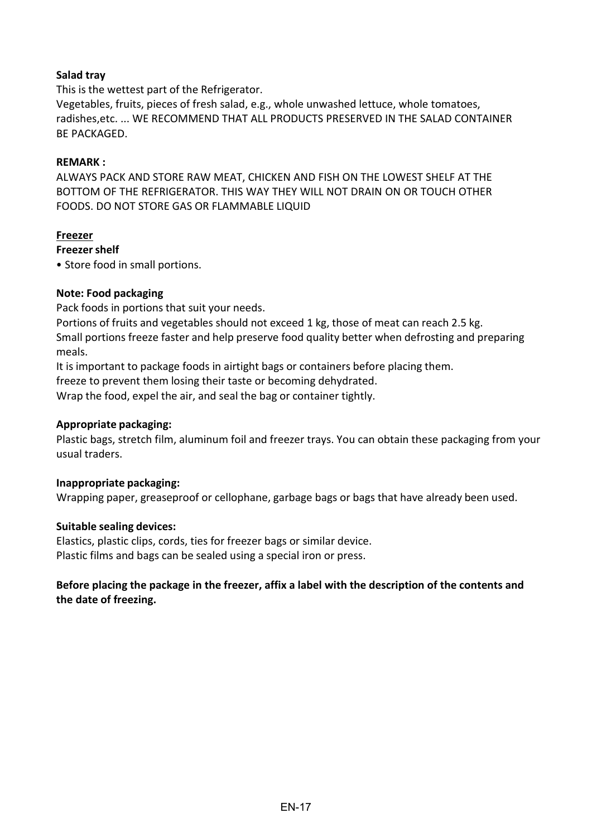#### **Salad tray**

This is the wettest part of the Refrigerator.

Vegetables, fruits, pieces of fresh salad, e.g., whole unwashed lettuce, whole tomatoes, radishes,etc. ... WE RECOMMEND THAT ALL PRODUCTS PRESERVED IN THE SALAD CONTAINER BE PACKAGED.

#### **REMARK :**

ALWAYS PACK AND STORE RAW MEAT, CHICKEN AND FISH ON THE LOWEST SHELF AT THE BOTTOM OF THE REFRIGERATOR. THIS WAY THEY WILL NOT DRAIN ON OR TOUCH OTHER FOODS. DO NOT STORE GAS OR FLAMMABLE LIQUID

#### **Freezer**

#### **Freezershelf**

• Store food in small portions.

#### **Note: Food packaging**

Pack foods in portions that suit your needs.

Portions of fruits and vegetables should not exceed 1 kg, those of meat can reach 2.5 kg. Small portions freeze faster and help preserve food quality better when defrosting and preparing meals.

It is important to package foods in airtight bags or containers before placing them.

freeze to prevent them losing their taste or becoming dehydrated.

Wrap the food, expel the air, and seal the bag or container tightly.

#### **Appropriate packaging:**

Plastic bags, stretch film, aluminum foil and freezer trays. You can obtain these packaging from your usual traders.

#### **Inappropriate packaging:**

Wrapping paper, greaseproof or cellophane, garbage bags or bags that have already been used.

#### **Suitable sealing devices:**

Elastics, plastic clips, cords, ties for freezer bags or similar device. Plastic films and bags can be sealed using a special iron or press.

#### **Before placing the package in the freezer, affix a label with the description of the contents and the date of freezing.**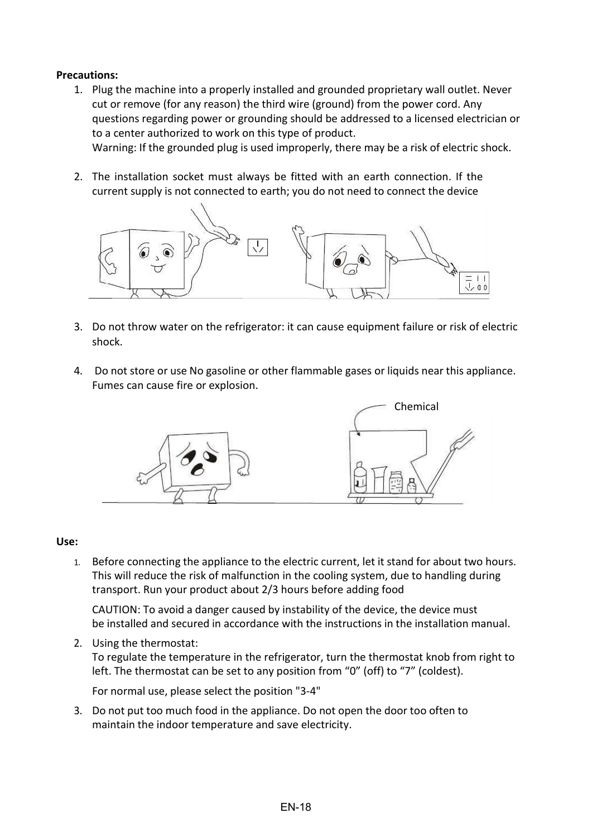#### **Precautions:**

- 1. Plug the machine into a properly installed and grounded proprietary wall outlet. Never cut or remove (for any reason) the third wire (ground) from the power cord. Any questions regarding power or grounding should be addressed to a licensed electrician or to a center authorized to work on this type of product. Warning: If the grounded plug is used improperly, there may be a risk of electric shock.
- 2. The installation socket must always be fitted with an earth connection. If the current supply is not connected to earth; you do not need to connect the device



- 3. Do not throw water on the refrigerator: it can cause equipment failure or risk of electric shock.
- 4. Do not store or use No gasoline or other flammable gases or liquids near this appliance. Fumes can cause fire or explosion.



#### **Use:**

1. Before connecting the appliance to the electric current, let it stand for about two hours. This will reduce the risk of malfunction in the cooling system, due to handling during transport. Run your product about 2/3 hours before adding food

CAUTION: To avoid a danger caused by instability of the device, the device must be installed and secured in accordance with the instructions in the installation manual.

2. Using the thermostat: To regulate the temperature in the refrigerator, turn the thermostat knob from right to left. The thermostat can be set to any position from "0" (off) to "7" (coldest).

For normal use, please select the position "3-4"

3. Do not put too much food in the appliance. Do not open the door too often to maintain the indoor temperature and save electricity.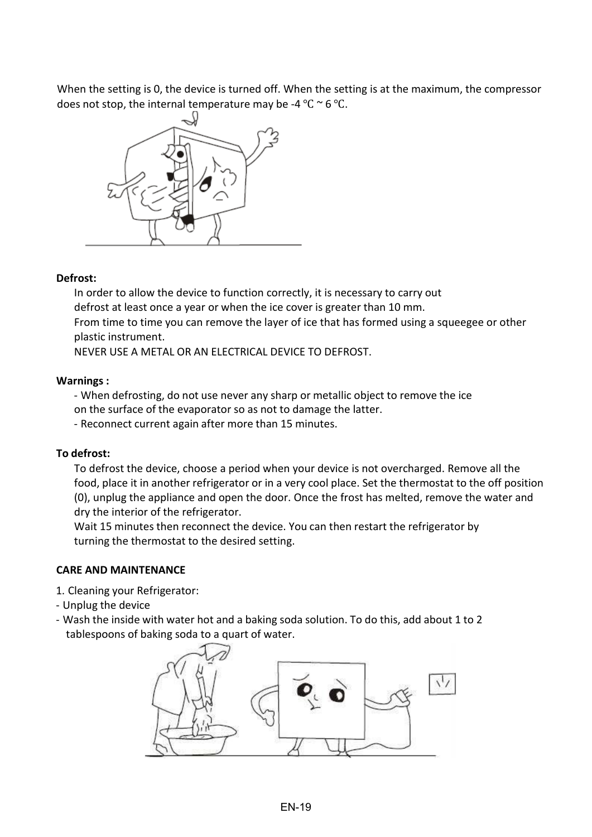When the setting is 0, the device is turned off. When the setting is at the maximum, the compressor does not stop, the internal temperature may be -4 °C  $\sim$  6 °C.



#### **Defrost:**

In order to allow the device to function correctly, it is necessary to carry out defrost at least once a year or when the ice cover is greater than 10 mm. From time to time you can remove the layer of ice that has formed using a squeegee or other plastic instrument.

NEVER USE A METAL OR AN ELECTRICAL DEVICE TO DEFROST.

#### **Warnings :**

- When defrosting, do not use never any sharp or metallic object to remove the ice on the surface of the evaporator so as not to damage the latter.

- Reconnect current again after more than 15 minutes.

#### **To defrost:**

To defrost the device, choose a period when your device is not overcharged. Remove all the food, place it in another refrigerator or in a very cool place. Set the thermostat to the off position (0), unplug the appliance and open the door. Once the frost has melted, remove the water and dry the interior of the refrigerator.

Wait 15 minutes then reconnect the device. You can then restart the refrigerator by turning the thermostat to the desired setting.

#### **CARE AND MAINTENANCE**

- 1. Cleaning your Refrigerator:
- Unplug the device
- Wash the inside with water hot and a baking soda solution. To do this, add about 1 to 2 tablespoons of baking soda to a quart of water.

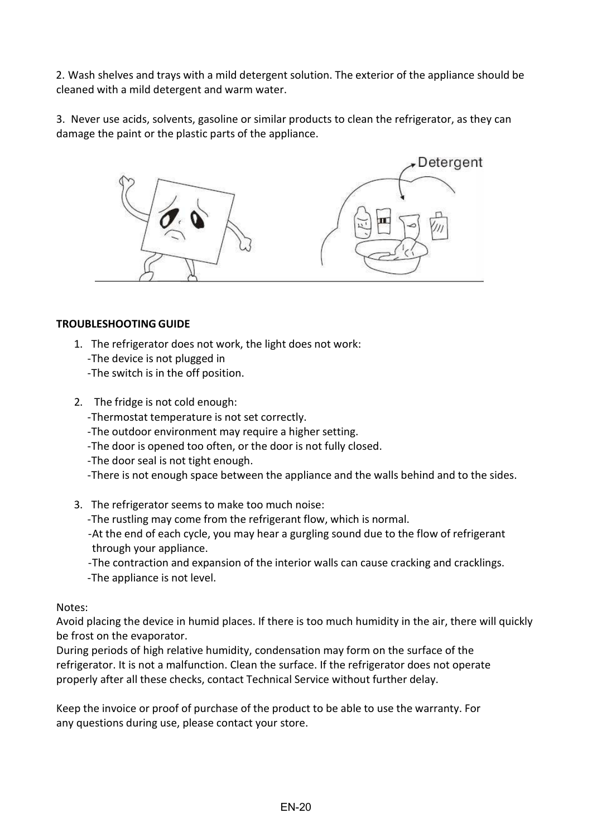2. Wash shelves and trays with a mild detergent solution. The exterior of the appliance should be cleaned with a mild detergent and warm water.

3. Never use acids, solvents, gasoline or similar products to clean the refrigerator, as they can damage the paint or the plastic parts of the appliance.



#### **TROUBLESHOOTING GUIDE**

- 1. The refrigerator does not work, the light does not work: -The device is not plugged in -The switch is in the off position.
- 2. The fridge is not cold enough:

-Thermostat temperature is not set correctly.

- -The outdoor environment may require a higher setting.
- -The door is opened too often, or the door is not fully closed.
- -The door seal is not tight enough.
- -There is not enough space between the appliance and the walls behind and to the sides.
- 3. The refrigerator seems to make too much noise:
	- -The rustling may come from the refrigerant flow, which is normal.
	- -At the end of each cycle, you may hear a gurgling sound due to the flow of refrigerant through your appliance.
	- -The contraction and expansion of the interior walls can cause cracking and cracklings. -The appliance is not level.

#### Notes:

Avoid placing the device in humid places. If there is too much humidity in the air, there will quickly be frost on the evaporator.

During periods of high relative humidity, condensation may form on the surface of the refrigerator. It is not a malfunction. Clean the surface. If the refrigerator does not operate properly after all these checks, contact Technical Service without further delay.

Keep the invoice or proof of purchase of the product to be able to use the warranty. For any questions during use, please contact your store.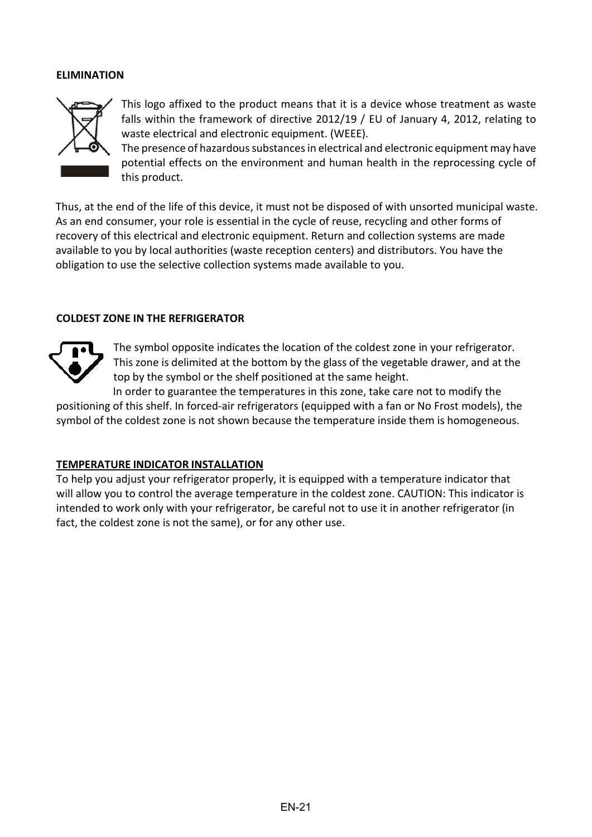#### **ELIMINATION**



This logo affixed to the product means that it is a device whose treatment as waste falls within the framework of directive 2012/19 / EU of January 4, 2012, relating to waste electrical and electronic equipment. (WEEE).

The presence of hazardous substances in electrical and electronic equipment may have potential effects on the environment and human health in the reprocessing cycle of this product.

Thus, at the end of the life of this device, it must not be disposed of with unsorted municipal waste. As an end consumer, your role is essential in the cycle of reuse, recycling and other forms of recovery of this electrical and electronic equipment. Return and collection systems are made available to you by local authorities (waste reception centers) and distributors. You have the obligation to use the selective collection systems made available to you.

#### **COLDEST ZONE IN THE REFRIGERATOR**



The symbol opposite indicates the location of the coldest zone in your refrigerator. This zone is delimited at the bottom by the glass of the vegetable drawer, and at the top by the symbol or the shelf positioned at the same height.

In order to guarantee the temperatures in this zone, take care not to modify the positioning of this shelf. In forced-air refrigerators (equipped with a fan or No Frost models), the symbol of the coldest zone is not shown because the temperature inside them is homogeneous.

#### **TEMPERATURE INDICATOR INSTALLATION**

To help you adjust your refrigerator properly, it is equipped with a temperature indicator that will allow you to control the average temperature in the coldest zone. CAUTION: This indicator is intended to work only with your refrigerator, be careful not to use it in another refrigerator (in fact, the coldest zone is not the same), or for any other use.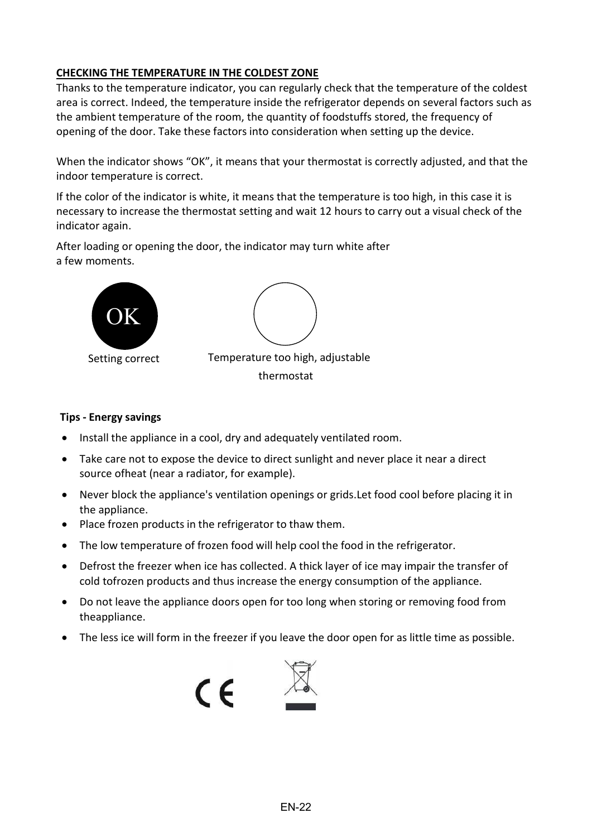#### **CHECKING THE TEMPERATURE IN THE COLDEST ZONE**

Thanks to the temperature indicator, you can regularly check that the temperature of the coldest area is correct. Indeed, the temperature inside the refrigerator depends on several factors such as the ambient temperature of the room, the quantity of foodstuffs stored, the frequency of opening of the door. Take these factors into consideration when setting up the device.

When the indicator shows "OK", it means that your thermostat is correctly adjusted, and that the indoor temperature is correct.

If the color of the indicator is white, it means that the temperature is too high, in this case it is necessary to increase the thermostat setting and wait 12 hours to carry out a visual check of the indicator again.

After loading or opening the door, the indicator may turn white after a few moments.



#### **Tips - Energy savings**

- Install the appliance in a cool, dry and adequately ventilated room.
- Take care not to expose the device to direct sunlight and never place it near a direct source ofheat (near a radiator, for example).
- Never block the appliance's ventilation openings or grids.Let food cool before placing it in the appliance.
- Place frozen products in the refrigerator to thaw them.
- The low temperature of frozen food will help cool the food in the refrigerator.
- Defrost the freezer when ice has collected. A thick layer of ice may impair the transfer of cold tofrozen products and thus increase the energy consumption of the appliance.
- Do not leave the appliance doors open for too long when storing or removing food from theappliance.
- The less ice will form in the freezer if you leave the door open for as little time as possible.

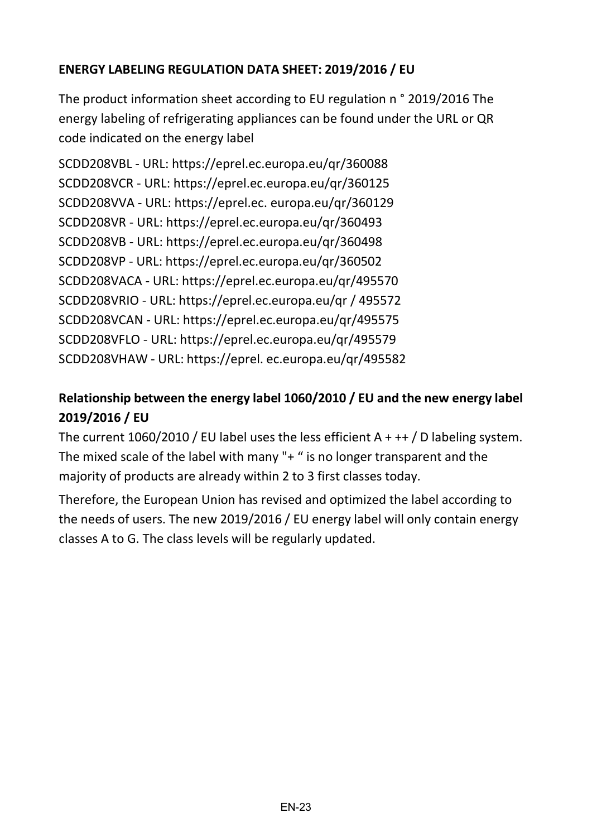#### **ENERGY LABELING REGULATION DATA SHEET: 2019/2016 / EU**

The product information sheet according to EU regulation n ° 2019/2016 The energy labeling of refrigerating appliances can be found under the URL or QR code indicated on the energy label

```
SCDD208VBL - URL: https://eprel.ec.europa.eu/qr/360088
SCDD208VCR - URL: https://eprel.ec.europa.eu/qr/360125
SCDD208VVA - URL: https://eprel.ec. europa.eu/qr/360129
SCDD208VR - URL: https://eprel.ec.europa.eu/qr/360493
SCDD208VB - URL: https://eprel.ec.europa.eu/qr/360498
SCDD208VP - URL: https://eprel.ec.europa.eu/qr/360502
SCDD208VACA - URL: https://eprel.ec.europa.eu/qr/495570
SCDD208VRIO - URL: https://eprel.ec.europa.eu/qr / 495572
SCDD208VCAN - URL: https://eprel.ec.europa.eu/qr/495575
SCDD208VFLO - URL: https://eprel.ec.europa.eu/qr/495579
SCDD208VHAW - URL: https://eprel. ec.europa.eu/qr/495582
```
#### **Relationship between the energy label 1060/2010 / EU and the new energy label 2019/2016 / EU**

The current  $1060/2010$  / EU label uses the less efficient A + ++ / D labeling system. The mixed scale of the label with many "+ " is no longer transparent and the majority of products are already within 2 to 3 first classes today.

Therefore, the European Union has revised and optimized the label according to the needs of users. The new 2019/2016 / EU energy label will only contain energy classes A to G. The class levels will be regularly updated.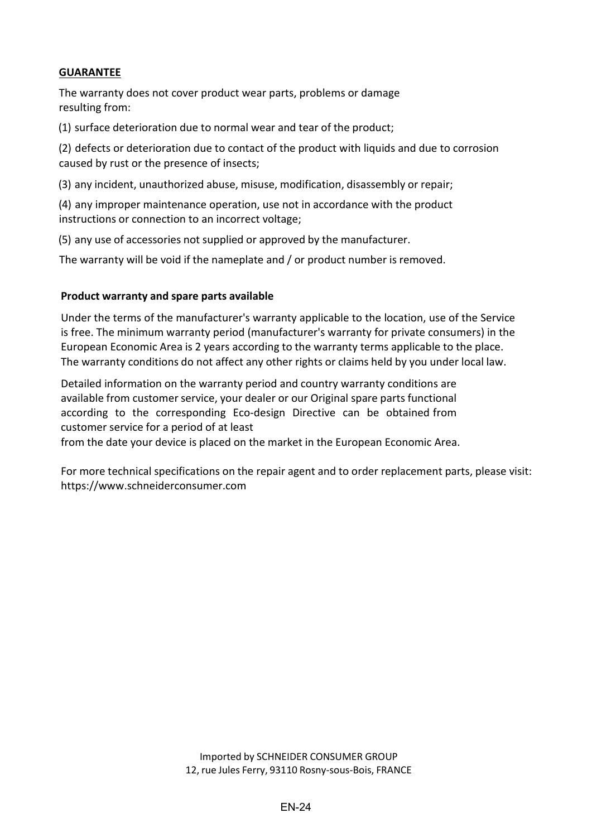#### **GUARANTEE**

The warranty does not cover product wear parts, problems or damage resulting from:

(1) surface deterioration due to normal wear and tear of the product;

(2) defects or deterioration due to contact of the product with liquids and due to corrosion caused by rust or the presence of insects;

(3) any incident, unauthorized abuse, misuse, modification, disassembly or repair;

(4) any improper maintenance operation, use not in accordance with the product instructions or connection to an incorrect voltage;

(5) any use of accessories not supplied or approved by the manufacturer.

The warranty will be void if the nameplate and / or product number is removed.

#### **Product warranty and spare parts available**

Under the terms of the manufacturer's warranty applicable to the location, use of the Service is free. The minimum warranty period (manufacturer's warranty for private consumers) in the European Economic Area is 2 years according to the warranty terms applicable to the place. The warranty conditions do not affect any other rights or claims held by you under local law.

Detailed information on the warranty period and country warranty conditions are available from customer service, your dealer or our Original spare parts functional according to the corresponding Eco-design Directive can be obtained from customer service for a period of at least

from the date your device is placed on the market in the European Economic Area.

For more technical specifications on the repair agent and to order replacement parts, please visit: [https://www.schneiderconsumer.com](http://www.schneiderconsumer.com/)